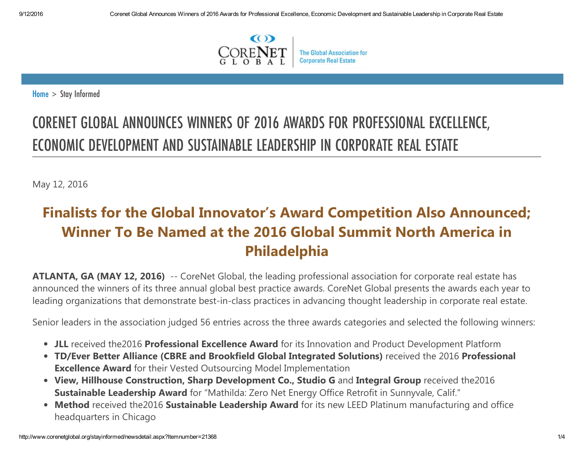

 $Home >$  $Home >$  Stay Informed

# CORENET GLOBAL ANNOUNCES WINNERS OF 2016 AWARDS FOR PROFESSIONAL EXCELLENCE, ECONOMIC DEVELOPMENT AND SUSTAINABLE LEADERSHIP IN CORPORATE REAL ESTATE

May 12, 2016

## Finalists for the Global Innovator's Award Competition Also Announced; Winner To Be Named at the 2016 Global Summit North America in Philadelphia

ATLANTA, GA (MAY 12, 2016) -- CoreNet Global, the leading professional association for corporate real estate has announced the winners of its three annual global best practice awards. CoreNet Global presents the awards each year to leading organizations that demonstrate best‐in‐class practices in advancing thought leadership in corporate real estate.

Senior leaders in the association judged 56 entries across the three awards categories and selected the following winners:

- JLL received the2016 Professional Excellence Award for its Innovation and Product Development Platform
- TD/Ever Better Alliance (CBRE and Brookfield Global Integrated Solutions) received the 2016 Professional Excellence Award for their Vested Outsourcing Model Implementation
- View, Hillhouse Construction, Sharp Development Co., Studio G and Integral Group received the2016 Sustainable Leadership Award for "Mathilda: Zero Net Energy Office Retrofit in Sunnyvale, Calif."
- Method received the2016 Sustainable Leadership Award for its new LEED Platinum manufacturing and office headquarters in Chicago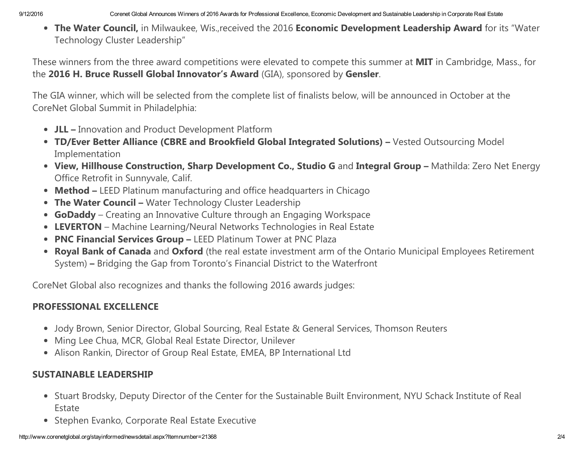• The Water Council, in Milwaukee, Wis.,received the 2016 Economic Development Leadership Award for its "Water Technology Cluster Leadership"

These winners from the three award competitions were elevated to compete this summer at MIT in Cambridge, Mass., for the 2016 H. Bruce Russell Global Innovator's Award (GIA), sponsored by Gensler.

The GIA winner, which will be selected from the complete list of finalists below, will be announced in October at the CoreNet Global Summit in Philadelphia:

- JLL Innovation and Product Development Platform
- TD/Ever Better Alliance (CBRE and Brookfield Global Integrated Solutions) Vested Outsourcing Model Implementation
- View, Hillhouse Construction, Sharp Development Co., Studio G and Integral Group Mathilda: Zero Net Energy Office Retrofit in Sunnyvale, Calif.
- Method LEED Platinum manufacturing and office headquarters in Chicago
- The Water Council Water Technology Cluster Leadership
- GoDaddy Creating an Innovative Culture through an Engaging Workspace
- LEVERTON Machine Learning/Neural Networks Technologies in Real Estate
- PNC Financial Services Group LEED Platinum Tower at PNC Plaza
- Royal Bank of Canada and Oxford (the real estate investment arm of the Ontario Municipal Employees Retirement System) – Bridging the Gap from Toronto's Financial District to the Waterfront

CoreNet Global also recognizes and thanks the following 2016 awards judges:

#### PROFESSIONAL EXCELLENCE

- Jody Brown, Senior Director, Global Sourcing, Real Estate & General Services, Thomson Reuters
- Ming Lee Chua, MCR, Global Real Estate Director, Unilever
- Alison Rankin, Director of Group Real Estate, EMEA, BP International Ltd

#### SUSTAINABLE LEADERSHIP

- Stuart Brodsky, Deputy Director of the Center for the Sustainable Built Environment, NYU Schack Institute of Real Estate
- Stephen Evanko, Corporate Real Estate Executive